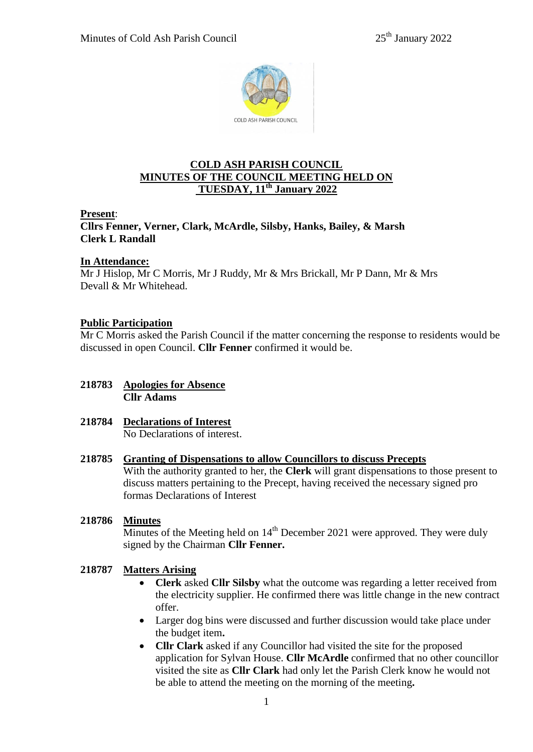

# **COLD ASH PARISH COUNCIL MINUTES OF THE COUNCIL MEETING HELD ON TUESDAY, 11th January 2022**

## **Present**:

**Cllrs Fenner, Verner, Clark, McArdle, Silsby, Hanks, Bailey, & Marsh Clerk L Randall**

## **In Attendance:**

Mr J Hislop, Mr C Morris, Mr J Ruddy, Mr & Mrs Brickall, Mr P Dann, Mr & Mrs Devall & Mr Whitehead.

# **Public Participation**

Mr C Morris asked the Parish Council if the matter concerning the response to residents would be discussed in open Council. **Cllr Fenner** confirmed it would be.

- **218783 Apologies for Absence Cllr Adams**
- **218784 Declarations of Interest** No Declarations of interest.

### **218785 Granting of Dispensations to allow Councillors to discuss Precepts**

With the authority granted to her, the **Clerk** will grant dispensations to those present to discuss matters pertaining to the Precept, having received the necessary signed pro formas Declarations of Interest

### **218786 Minutes**

Minutes of the Meeting held on  $14<sup>th</sup>$  December 2021 were approved. They were duly signed by the Chairman **Cllr Fenner.**

# **218787 Matters Arising**

- **Clerk** asked **Cllr Silsby** what the outcome was regarding a letter received from the electricity supplier. He confirmed there was little change in the new contract offer.
- Larger dog bins were discussed and further discussion would take place under the budget item**.**
- **Cllr Clark** asked if any Councillor had visited the site for the proposed application for Sylvan House. **Cllr McArdle** confirmed that no other councillor visited the site as **Cllr Clark** had only let the Parish Clerk know he would not be able to attend the meeting on the morning of the meeting**.**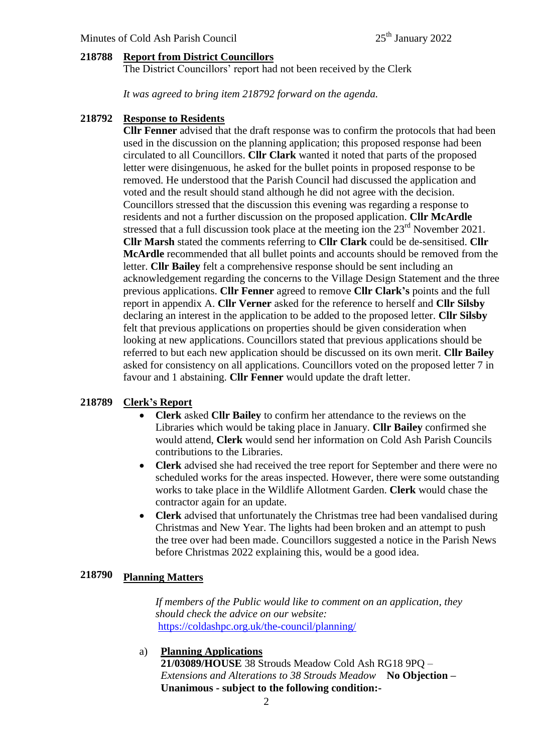#### **218788 Report from District Councillors**

The District Councillors' report had not been received by the Clerk

*It was agreed to bring item 218792 forward on the agenda.*

#### **218792 Response to Residents**

**Cllr Fenner** advised that the draft response was to confirm the protocols that had been used in the discussion on the planning application; this proposed response had been circulated to all Councillors. **Cllr Clark** wanted it noted that parts of the proposed letter were disingenuous, he asked for the bullet points in proposed response to be removed. He understood that the Parish Council had discussed the application and voted and the result should stand although he did not agree with the decision. Councillors stressed that the discussion this evening was regarding a response to residents and not a further discussion on the proposed application. **Cllr McArdle** stressed that a full discussion took place at the meeting ion the 23<sup>rd</sup> November 2021. **Cllr Marsh** stated the comments referring to **Cllr Clark** could be de-sensitised. **Cllr McArdle** recommended that all bullet points and accounts should be removed from the letter. **Cllr Bailey** felt a comprehensive response should be sent including an acknowledgement regarding the concerns to the Village Design Statement and the three previous applications. **Cllr Fenner** agreed to remove **Cllr Clark's** points and the full report in appendix A. **Cllr Verner** asked for the reference to herself and **Cllr Silsby** declaring an interest in the application to be added to the proposed letter. **Cllr Silsby** felt that previous applications on properties should be given consideration when looking at new applications. Councillors stated that previous applications should be referred to but each new application should be discussed on its own merit. **Cllr Bailey** asked for consistency on all applications. Councillors voted on the proposed letter 7 in favour and 1 abstaining. **Cllr Fenner** would update the draft letter.

#### **218789 Clerk's Report**

- **Clerk** asked **Cllr Bailey** to confirm her attendance to the reviews on the Libraries which would be taking place in January. **Cllr Bailey** confirmed she would attend, **Clerk** would send her information on Cold Ash Parish Councils contributions to the Libraries.
- **Clerk** advised she had received the tree report for September and there were no scheduled works for the areas inspected. However, there were some outstanding works to take place in the Wildlife Allotment Garden. **Clerk** would chase the contractor again for an update.
- **Clerk** advised that unfortunately the Christmas tree had been vandalised during Christmas and New Year. The lights had been broken and an attempt to push the tree over had been made. Councillors suggested a notice in the Parish News before Christmas 2022 explaining this, would be a good idea.

### **218790 Planning Matters**

 *If members of the Public would like to comment on an application, they should check the advice on our website:* <https://coldashpc.org.uk/the-council/planning/>

### a) **Planning Applications**

 **21/03089/HOUSE** 38 Strouds Meadow Cold Ash RG18 9PQ – *Extensions and Alterations to 38 Strouds Meadow* **No Objection – Unanimous - subject to the following condition:-**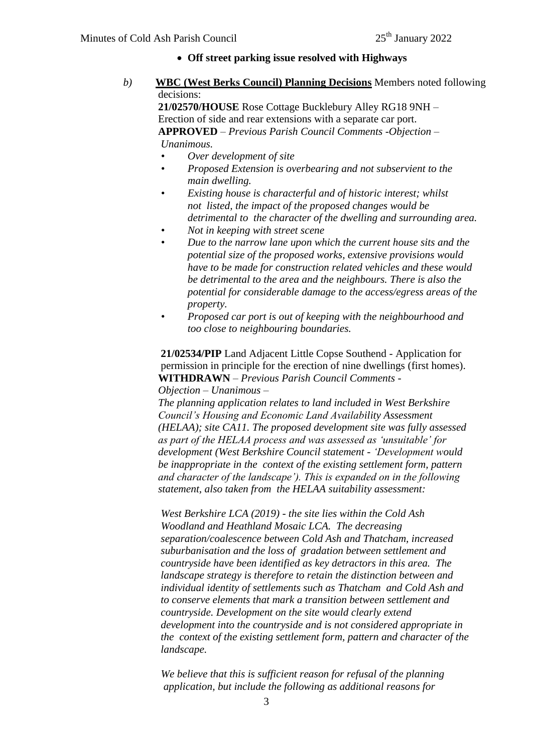- **Off street parking issue resolved with Highways**
- *b)* **WBC (West Berks Council) Planning Decisions** Members noted following decisions:

 **21/02570/HOUSE** Rose Cottage Bucklebury Alley RG18 9NH – Erection of side and rear extensions with a separate car port. **APPROVED** – *Previous Parish Council Comments -Objection – Unanimous.*

- *• Over development of site*
- *• Proposed Extension is overbearing and not subservient to the main dwelling.*
- *• Existing house is characterful and of historic interest; whilst not listed, the impact of the proposed changes would be detrimental to the character of the dwelling and surrounding area.*
- *• Not in keeping with street scene*
- *• Due to the narrow lane upon which the current house sits and the potential size of the proposed works, extensive provisions would have to be made for construction related vehicles and these would be detrimental to the area and the neighbours. There is also the potential for considerable damage to the access/egress areas of the property.*
- *• Proposed car port is out of keeping with the neighbourhood and too close to neighbouring boundaries.*

 **21/02534/PIP** Land Adjacent Little Copse Southend - Application for permission in principle for the erection of nine dwellings (first homes). **WITHDRAWN** – *Previous Parish Council Comments -* 

## *Objection – Unanimous –*

 *The planning application relates to land included in West Berkshire Council's Housing and Economic Land Availability Assessment (HELAA); site CA11. The proposed development site was fully assessed as part of the HELAA process and was assessed as 'unsuitable' for development (West Berkshire Council statement - 'Development would be inappropriate in the context of the existing settlement form, pattern and character of the landscape'). This is expanded on in the following statement, also taken from the HELAA suitability assessment:*

 *West Berkshire LCA (2019) - the site lies within the Cold Ash Woodland and Heathland Mosaic LCA. The decreasing separation/coalescence between Cold Ash and Thatcham, increased suburbanisation and the loss of gradation between settlement and countryside have been identified as key detractors in this area. The landscape strategy is therefore to retain the distinction between and individual identity of settlements such as Thatcham and Cold Ash and*  *to conserve elements that mark a transition between settlement and countryside. Development on the site would clearly extend development into the countryside and is not considered appropriate in the context of the existing settlement form, pattern and character of the landscape.*

 *We believe that this is sufficient reason for refusal of the planning application, but include the following as additional reasons for*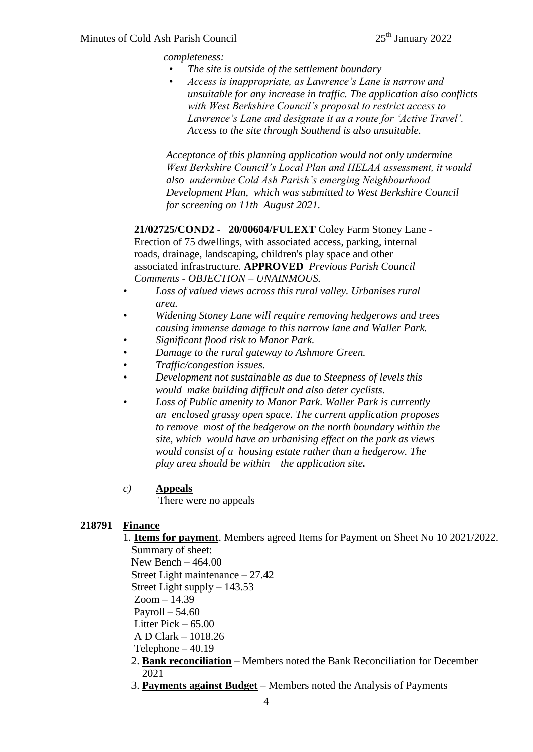*completeness:*

- *• The site is outside of the settlement boundary*
- *• Access is inappropriate, as Lawrence's Lane is narrow and unsuitable for any increase in traffic. The application also conflicts with West Berkshire Council's proposal to restrict access to Lawrence's Lane and designate it as a route for 'Active Travel'. Access to the site through Southend is also unsuitable.*

 *Acceptance of this planning application would not only undermine West Berkshire Council's Local Plan and HELAA assessment, it would also undermine Cold Ash Parish's emerging Neighbourhood Development Plan, which was submitted to West Berkshire Council for screening on 11th August 2021.*

 **21/02725/COND2 - 20/00604/FULEXT** Coley Farm Stoney Lane - Erection of 75 dwellings, with associated access, parking, internal roads, drainage, landscaping, children's play space and other associated infrastructure. **APPROVED** *Previous Parish Council Comments - OBJECTION – UNAINMOUS.*

- *• Loss of valued views across this rural valley. Urbanises rural area.*
- *• Widening Stoney Lane will require removing hedgerows and trees causing immense damage to this narrow lane and Waller Park.*
- *• Significant flood risk to Manor Park.*
- *• Damage to the rural gateway to Ashmore Green.*
- *• Traffic/congestion issues.*
- *• Development not sustainable as due to Steepness of levels this would make building difficult and also deter cyclists.*
- *• Loss of Public amenity to Manor Park. Waller Park is currently an enclosed grassy open space. The current application proposes to remove most of the hedgerow on the north boundary within the site, which would have an urbanising effect on the park as views would consist of a housing estate rather than a hedgerow. The play area should be within the application site.*

## *c)* **Appeals**

There were no appeals

## **218791 Finance**

1. **Items for payment**. Members agreed Items for Payment on Sheet No 10 2021/2022. Summary of sheet:

New Bench – 464.00

Street Light maintenance – 27.42

Street Light supply – 143.53

 $Zoom - 14.39$ 

Payroll – 54.60

Litter Pick – 65.00

A D Clark – 1018.26

Telephone – 40.19

- 2. **Bank reconciliation** Members noted the Bank Reconciliation for December 2021
- 3. **Payments against Budget** Members noted the Analysis of Payments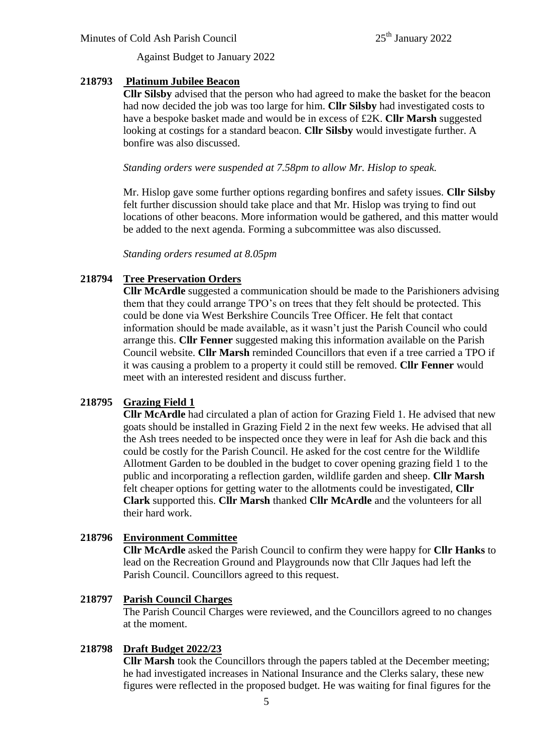Against Budget to January 2022

### **218793 Platinum Jubilee Beacon**

**Cllr Silsby** advised that the person who had agreed to make the basket for the beacon had now decided the job was too large for him. **Cllr Silsby** had investigated costs to have a bespoke basket made and would be in excess of £2K. **Cllr Marsh** suggested looking at costings for a standard beacon. **Cllr Silsby** would investigate further. A bonfire was also discussed.

*Standing orders were suspended at 7.58pm to allow Mr. Hislop to speak.*

Mr. Hislop gave some further options regarding bonfires and safety issues. **Cllr Silsby** felt further discussion should take place and that Mr. Hislop was trying to find out locations of other beacons. More information would be gathered, and this matter would be added to the next agenda. Forming a subcommittee was also discussed.

*Standing orders resumed at 8.05pm*

### **218794 Tree Preservation Orders**

**Cllr McArdle** suggested a communication should be made to the Parishioners advising them that they could arrange TPO's on trees that they felt should be protected. This could be done via West Berkshire Councils Tree Officer. He felt that contact information should be made available, as it wasn't just the Parish Council who could arrange this. **Cllr Fenner** suggested making this information available on the Parish Council website. **Cllr Marsh** reminded Councillors that even if a tree carried a TPO if it was causing a problem to a property it could still be removed. **Cllr Fenner** would meet with an interested resident and discuss further.

### **218795 Grazing Field 1**

**Cllr McArdle** had circulated a plan of action for Grazing Field 1. He advised that new goats should be installed in Grazing Field 2 in the next few weeks. He advised that all the Ash trees needed to be inspected once they were in leaf for Ash die back and this could be costly for the Parish Council. He asked for the cost centre for the Wildlife Allotment Garden to be doubled in the budget to cover opening grazing field 1 to the public and incorporating a reflection garden, wildlife garden and sheep. **Cllr Marsh** felt cheaper options for getting water to the allotments could be investigated, **Cllr Clark** supported this. **Cllr Marsh** thanked **Cllr McArdle** and the volunteers for all their hard work.

### **218796 Environment Committee**

**Cllr McArdle** asked the Parish Council to confirm they were happy for **Cllr Hanks** to lead on the Recreation Ground and Playgrounds now that Cllr Jaques had left the Parish Council. Councillors agreed to this request.

### **218797 Parish Council Charges**

The Parish Council Charges were reviewed, and the Councillors agreed to no changes at the moment.

### **218798 Draft Budget 2022/23**

**Cllr Marsh** took the Councillors through the papers tabled at the December meeting; he had investigated increases in National Insurance and the Clerks salary, these new figures were reflected in the proposed budget. He was waiting for final figures for the